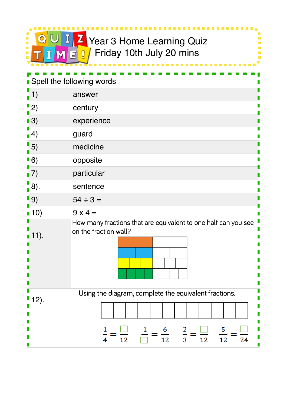

Ì.  $\overline{\phantom{a}}$ 

 $\frac{1}{2}$ 

| <b>Spell the following words</b>               |                                                                                                                                               |  |
|------------------------------------------------|-----------------------------------------------------------------------------------------------------------------------------------------------|--|
| $\left( \begin{matrix} 1 \end{matrix} \right)$ | answer                                                                                                                                        |  |
| $\vert$ 2)                                     | century                                                                                                                                       |  |
| $\blacksquare$ 3)                              | experience                                                                                                                                    |  |
| $\blacksquare$ 4)                              | guard                                                                                                                                         |  |
| $\frac{1}{1}$ 5)                               | medicine                                                                                                                                      |  |
| $\blacksquare$ 6)                              | opposite                                                                                                                                      |  |
| $\blacksquare$ 7)                              | particular                                                                                                                                    |  |
| 8).                                            | sentence                                                                                                                                      |  |
| $\blacksquare$ 9)                              | $54 \div 3 =$                                                                                                                                 |  |
| $\blacksquare$ 10)                             | $9x4=$                                                                                                                                        |  |
| $11$ .                                         | How many fractions that are equivalent to one half can you see<br>on the fraction wall?                                                       |  |
| $12$ .                                         | Using the diagram, complete the equivalent fractions.<br>5<br>$\overline{2}$<br>$\frac{6}{12}$<br>$\overline{3}$<br>12<br>12<br>12<br>24<br>4 |  |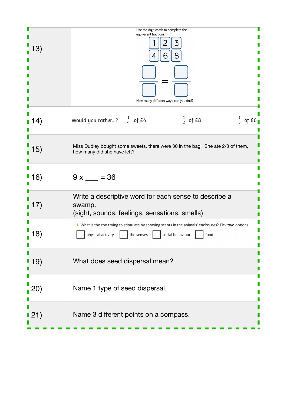|                    | Use the digit cards to complete the<br>equivalent fractions.<br>6<br>How many different ways can you find?                                                             |
|--------------------|------------------------------------------------------------------------------------------------------------------------------------------------------------------------|
| 4)                 | Would you rather? $\frac{1}{4}$ of £4<br>$\frac{1}{3}$ of £6<br>$\frac{1}{2}$ of £8                                                                                    |
| 15)                | Miss Dudley bought some sweets, there were 30 in the bag! She ate 2/3 of them,<br>how many did she have left?                                                          |
| 16)                | $9x = 36$                                                                                                                                                              |
| $\left($           | Write a descriptive word for each sense to describe a<br>swamp.<br>(sight, sounds, feelings, sensations, smells)                                                       |
|                    | 1. What is the zoo trying to stimulate by spraying scents in the animals' enclosures? Tick two options.<br>physical activity<br>social behaviour<br>food<br>the senses |
| 19)                | What does seed dispersal mean?                                                                                                                                         |
| <b>20)</b>         | Name 1 type of seed dispersal.                                                                                                                                         |
| $\blacksquare$ 21) | Name 3 different points on a compass.                                                                                                                                  |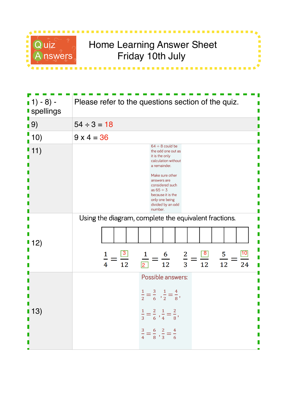

## Quiz Bome Learning Answer Sheet<br>Answers, Friday 10th July Friday 10th July

i<br>I Ė  $\overline{\phantom{a}}$ 

| $(1) - 8$ ) -<br><b>spellings</b> | Please refer to the questions section of the quiz.                                                                                                                                                                                                |
|-----------------------------------|---------------------------------------------------------------------------------------------------------------------------------------------------------------------------------------------------------------------------------------------------|
| $\blacksquare$ 9)                 | $54 \div 3 = 18$                                                                                                                                                                                                                                  |
| 10)                               | $9 \times 4 = 36$                                                                                                                                                                                                                                 |
| 11)                               | $64 \div 8$ could be<br>the odd one out as<br>it is the only<br>calculation without<br>a remainder.<br>Make sure other<br>answers are<br>considered such<br>as $65 \div 3$<br>because it is the<br>only one being<br>divided by an odd<br>number. |
| 2)                                | Using the diagram, complete the equivalent fractions.<br>10<br>$\frac{3}{2}$<br>$\frac{8}{1}$<br>5<br>6<br>2<br>12<br>12<br>12<br>24<br>12<br>4<br>3                                                                                              |
| $\blacksquare$ 13)                | Possible answers:<br>$\frac{1}{2} = \frac{3}{6}$ , $\frac{1}{2} = \frac{4}{8}$ ,<br>$\frac{1}{3} = \frac{2}{6}$ , $\frac{1}{4} = \frac{2}{8}$ ,<br>$\frac{3}{4} = \frac{6}{8}$ , $\frac{2}{3} = \frac{4}{6}$                                      |